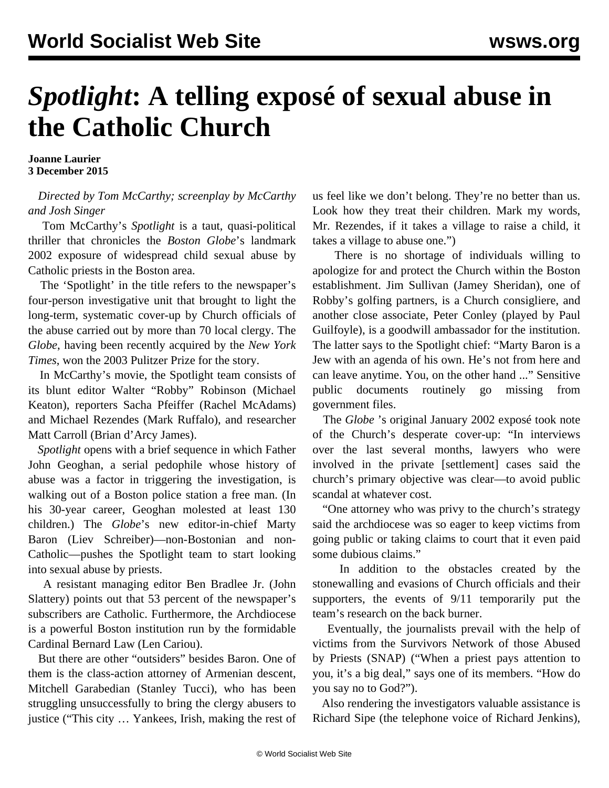## *Spotlight***: A telling exposé of sexual abuse in the Catholic Church**

**Joanne Laurier 3 December 2015**

## *Directed by Tom McCarthy; screenplay by McCarthy and Josh Singer*

 Tom McCarthy's *Spotlight* is a taut, quasi-political thriller that chronicles the *Boston Globe*'s landmark 2002 exposure of widespread child sexual abuse by Catholic priests in the Boston area.

 The 'Spotlight' in the title refers to the newspaper's four-person investigative unit that brought to light the long-term, systematic cover-up by Church officials of the abuse carried out by more than 70 local clergy. The *Globe*, having been recently acquired by the *New York Times*, won the 2003 Pulitzer Prize for the story.

 In McCarthy's movie, the Spotlight team consists of its blunt editor Walter "Robby" Robinson (Michael Keaton), reporters Sacha Pfeiffer (Rachel McAdams) and Michael Rezendes (Mark Ruffalo), and researcher Matt Carroll (Brian d'Arcy James).

 *Spotlight* opens with a brief sequence in which Father John Geoghan, a serial pedophile whose history of abuse was a factor in triggering the investigation, is walking out of a Boston police station a free man. (In his 30-year career, Geoghan molested at least 130 children.) The *Globe*'s new editor-in-chief Marty Baron (Liev Schreiber)—non-Bostonian and non-Catholic—pushes the Spotlight team to start looking into sexual abuse by priests.

 A resistant managing editor Ben Bradlee Jr. (John Slattery) points out that 53 percent of the newspaper's subscribers are Catholic. Furthermore, the Archdiocese is a powerful Boston institution run by the formidable Cardinal Bernard Law (Len Cariou).

 But there are other "outsiders" besides Baron. One of them is the class-action attorney of Armenian descent, Mitchell Garabedian (Stanley Tucci), who has been struggling unsuccessfully to bring the clergy abusers to justice ("This city … Yankees, Irish, making the rest of us feel like we don't belong. They're no better than us. Look how they treat their children. Mark my words, Mr. Rezendes, if it takes a village to raise a child, it takes a village to abuse one.")

 There is no shortage of individuals willing to apologize for and protect the Church within the Boston establishment. Jim Sullivan (Jamey Sheridan), one of Robby's golfing partners, is a Church consigliere, and another close associate, Peter Conley (played by Paul Guilfoyle), is a goodwill ambassador for the institution. The latter says to the Spotlight chief: "Marty Baron is a Jew with an agenda of his own. He's not from here and can leave anytime. You, on the other hand ..." Sensitive public documents routinely go missing from government files.

 The *Globe* 's original January 2002 exposé took note of the Church's desperate cover-up: "In interviews over the last several months, lawyers who were involved in the private [settlement] cases said the church's primary objective was clear—to avoid public scandal at whatever cost.

 "One attorney who was privy to the church's strategy said the archdiocese was so eager to keep victims from going public or taking claims to court that it even paid some dubious claims."

 In addition to the obstacles created by the stonewalling and evasions of Church officials and their supporters, the events of 9/11 temporarily put the team's research on the back burner.

 Eventually, the journalists prevail with the help of victims from the Survivors Network of those Abused by Priests (SNAP) ("When a priest pays attention to you, it's a big deal," says one of its members. "How do you say no to God?").

 Also rendering the investigators valuable assistance is Richard Sipe (the telephone voice of Richard Jenkins),